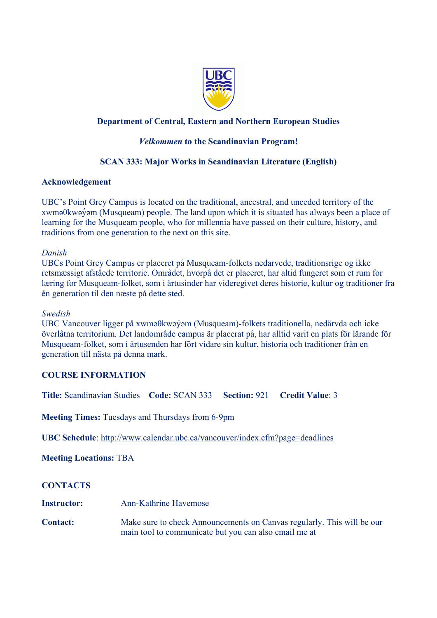

# **Department of Central, Eastern and Northern European Studies**

## *Velkommen* **to the Scandinavian Program!**

# **SCAN 333: Major Works in Scandinavian Literature (English)**

## **Acknowledgement**

UBC's Point Grey Campus is located on the traditional, ancestral, and unceded territory of the xwməθkwəy̓əm (Musqueam) people. The land upon which it is situated has always been a place of learning for the Musqueam people, who for millennia have passed on their culture, history, and traditions from one generation to the next on this site.

### *Danish*

UBCs Point Grey Campus er placeret på Musqueam-folkets nedarvede, traditionsrige og ikke retsmæssigt afståede territorie. Området, hvorpå det er placeret, har altid fungeret som et rum for læring for Musqueam-folket, som i årtusinder har videregivet deres historie, kultur og traditioner fra én generation til den næste på dette sted.

#### *Swedish*

UBC Vancouver ligger på xwməθkwəy̓əm (Musqueam)-folkets traditionella, nedärvda och icke överlåtna territorium. Det landområde campus är placerat på, har alltid varit en plats för lärande för Musqueam-folket, som i årtusenden har fört vidare sin kultur, historia och traditioner från en generation till nästa på denna mark.

## **COURSE INFORMATION**

**Title:** Scandinavian Studies **Code:** SCAN 333 **Section:** 921 **Credit Value**: 3

**Meeting Times:** Tuesdays and Thursdays from 6-9pm

**UBC Schedule**: <http://www.calendar.ubc.ca/vancouver/index.cfm?page=deadlines>

**Meeting Locations:** TBA

### **CONTACTS**

- **Instructor:** Ann-Kathrine Havemose
- **Contact:** Make sure to check Announcements on Canvas regularly. This will be our main tool to communicate but you can also email me at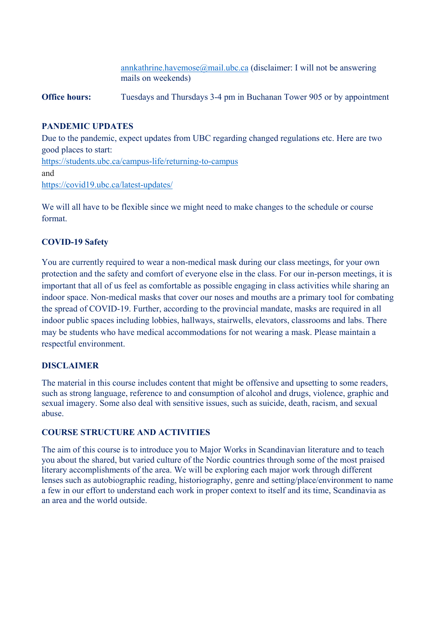[annkathrine.havemose@mail.ubc.ca](mailto:annkathrine.havemose@mail.ubc.ca) (disclaimer: I will not be answering mails on weekends)

**Office hours:** Tuesdays and Thursdays 3-4 pm in Buchanan Tower 905 or by appointment

# **PANDEMIC UPDATES**

Due to the pandemic, expect updates from UBC regarding changed regulations etc. Here are two good places to start: [https://students.ubc.ca/campus](https://students.ubc.ca/campus-life/returning-to-campus)-life/returning-to-campus and [https://covid19.ubc.ca/latest](https://covid19.ubc.ca/latest-updates/)-updates/

We will all have to be flexible since we might need to make changes to the schedule or course format.

# **COVID-19 Safety**

You are currently required to wear a non-medical mask during our class meetings, for your own protection and the safety and comfort of everyone else in the class. For our in-person meetings, it is important that all of us feel as comfortable as possible engaging in class activities while sharing an indoor space. Non-medical masks that cover our noses and mouths are a primary tool for combating the spread of COVID-19. Further, according to the provincial mandate, masks are required in all indoor public spaces including lobbies, hallways, stairwells, elevators, classrooms and labs. There may be students who have medical accommodations for not wearing a mask. Please maintain a respectful environment.

## **DISCLAIMER**

The material in this course includes content that might be offensive and upsetting to some readers, such as strong language, reference to and consumption of alcohol and drugs, violence, graphic and sexual imagery. Some also deal with sensitive issues, such as suicide, death, racism, and sexual abuse.

## **COURSE STRUCTURE AND ACTIVITIES**

The aim of this course is to introduce you to Major Works in Scandinavian literature and to teach you about the shared, but varied culture of the Nordic countries through some of the most praised literary accomplishments of the area. We will be exploring each major work through different lenses such as autobiographic reading, historiography, genre and setting/place/environment to name a few in our effort to understand each work in proper context to itself and its time, Scandinavia as an area and the world outside.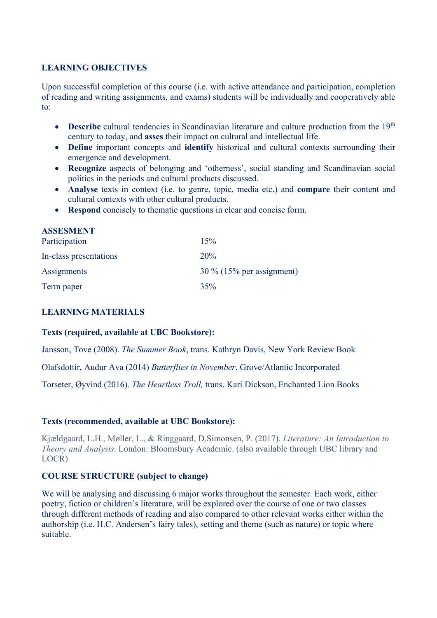## **LEARNING OBJECTIVES**

Upon successful completion of this course (i.e. with active attendance and participation, completion of reading and writing assignments, and exams) students will be individually and cooperatively able to:

- **Describe** cultural tendencies in Scandinavian literature and culture production from the 19<sup>th</sup> century to today, and **asses** their impact on cultural and intellectual life.
- **Define** important concepts and **identify** historical and cultural contexts surrounding their emergence and development.
- **Recognize** aspects of belonging and 'otherness', social standing and Scandinavian social politics in the periods and cultural products discussed.
- **Analyse** texts in context (i.e. to genre, topic, media etc.) and **compare** their content and cultural contexts with other cultural products.
- **Respond** concisely to thematic questions in clear and concise form.

| <b>ASSESMENT</b><br>Participation | 15%                         |
|-----------------------------------|-----------------------------|
| In-class presentations            | 20%                         |
| Assignments                       | $30\%$ (15% per assignment) |
| Term paper                        | 35%                         |

## **LEARNING MATERIALS**

### **Texts (required, available at UBC Bookstore):**

Jansson, Tove (2008). *The Summer Book*, trans. Kathryn Davis, New York Review Book

Olafsdottir, Audur Ava (2014) *Butterflies in November*, Grove/Atlantic Incorporated

Torseter, Øyvind (2016). *The Heartless Troll,* trans. Kari Dickson, Enchanted Lion Books

### **Texts (recommended, available at UBC Bookstore):**

Kjældgaard, L.H., Møller, L., & Ringgaard, D.Simonsen, P. (2017). *Literature: An Introduction to Theory and Analysis*. London: Bloomsbury Academic. (also available through UBC library and LOCR)

## **COURSE STRUCTURE (subject to change)**

We will be analysing and discussing 6 major works throughout the semester. Each work, either poetry, fiction or children's literature, will be explored over the course of one or two classes through different methods of reading and also compared to other relevant works either within the authorship (i.e. H.C. Andersen's fairy tales), setting and theme (such as nature) or topic where suitable.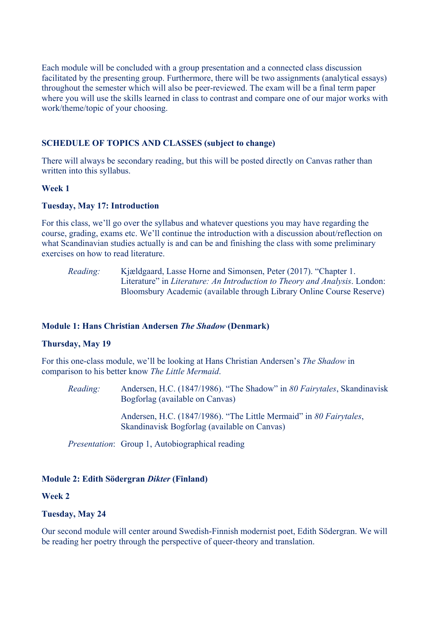Each module will be concluded with a group presentation and a connected class discussion facilitated by the presenting group. Furthermore, there will be two assignments (analytical essays) throughout the semester which will also be peer-reviewed. The exam will be a final term paper where you will use the skills learned in class to contrast and compare one of our major works with work/theme/topic of your choosing.

## **SCHEDULE OF TOPICS AND CLASSES (subject to change)**

There will always be secondary reading, but this will be posted directly on Canvas rather than written into this syllabus.

### **Week 1**

#### **Tuesday, May 17: Introduction**

For this class, we'll go over the syllabus and whatever questions you may have regarding the course, grading, exams etc. We'll continue the introduction with a discussion about/reflection on what Scandinavian studies actually is and can be and finishing the class with some preliminary exercises on how to read literature.

*Reading:* Kjældgaard, Lasse Horne and Simonsen, Peter (2017). "Chapter 1. Literature" in *Literature: An Introduction to Theory and Analysis*. London: Bloomsbury Academic (available through Library Online Course Reserve)

### **Module 1: Hans Christian Andersen** *The Shadow* **(Denmark)**

### **Thursday, May 19**

For this one-class module, we'll be looking at Hans Christian Andersen's *The Shadow* in comparison to his better know *The Little Mermaid*.

*Reading:* Andersen, H.C. (1847/1986). "The Shadow" in *80 Fairytales*, Skandinavisk Bogforlag (available on Canvas)

Andersen, H.C. (1847/1986). "The Little Mermaid" in *80 Fairytales*, Skandinavisk Bogforlag (available on Canvas)

*Presentation*: Group 1, Autobiographical reading

### **Module 2: Edith Södergran** *Dikter* **(Finland)**

#### **Week 2**

### **Tuesday, May 24**

Our second module will center around Swedish-Finnish modernist poet, Edith Södergran. We will be reading her poetry through the perspective of queer-theory and translation.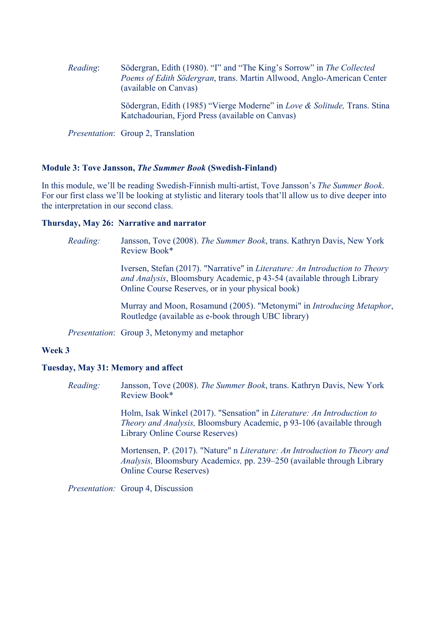*Reading*: Södergran, Edith (1980). "I" and "The King's Sorrow" in *The Collected Poems of Edith Södergran*, trans. Martin Allwood, Anglo-American Center (available on Canvas)

> Södergran, Edith (1985) "Vierge Moderne" in *Love & Solitude,* Trans. Stina Katchadourian, Fjord Press (available on Canvas)

*Presentation*: Group 2, Translation

#### **Module 3: Tove Jansson,** *The Summer Book* **(Swedish-Finland)**

In this module, we'll be reading Swedish-Finnish multi-artist, Tove Jansson's *The Summer Book*. For our first class we'll be looking at stylistic and literary tools that'll allow us to dive deeper into the interpretation in our second class.

#### **Thursday, May 26: Narrative and narrator**

*Reading:* Jansson, Tove (2008). *The Summer Book*, trans. Kathryn Davis, New York Review Book\*

> Iversen, Stefan (2017). "Narrative" in *Literature: An Introduction to Theory and Analysis*, Bloomsbury Academic, p 43-54 (available through Library Online Course Reserves, or in your physical book)

Murray and Moon, Rosamund (2005). "Metonymi" in *Introducing Metaphor*, Routledge (available as e-book through UBC library)

*Presentation*: Group 3, Metonymy and metaphor

### **Week 3**

#### **Tuesday, May 31: Memory and affect**

*Reading:* Jansson, Tove (2008). *The Summer Book*, trans. Kathryn Davis, New York Review Book\*

> Holm, Isak Winkel (2017). "Sensation" in *Literature: An Introduction to Theory and Analysis,* Bloomsbury Academic, p 93-106 (available through Library Online Course Reserves)

Mortensen, P. (2017). "Nature" n *Literature: An Introduction to Theory and Analysis,* Bloomsbury Academic*s,* pp. 239–250 (available through Library Online Course Reserves)

*Presentation:* Group 4, Discussion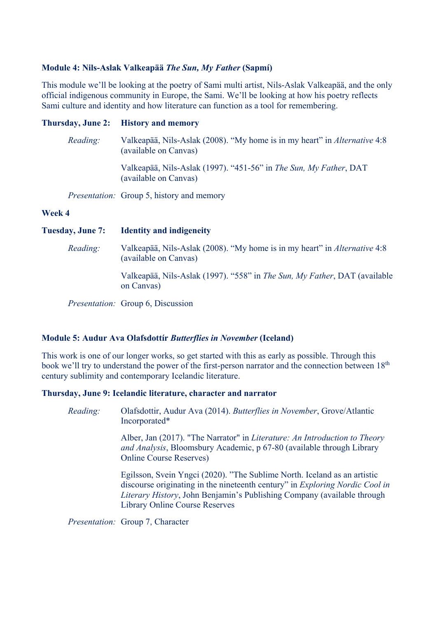### **Module 4: Nils-Aslak Valkeapää** *The Sun, My Father* **(Sapmí)**

This module we'll be looking at the poetry of Sami multi artist, Nils-Aslak Valkeapää, and the only official indigenous community in Europe, the Sami. We'll be looking at how his poetry reflects Sami culture and identity and how literature can function as a tool for remembering.

## **Thursday, June 2: History and memory**

| Reading: | Valkeapää, Nils-Aslak (2008). "My home is in my heart" in <i>Alternative</i> 4:8<br>(available on Canvas) |
|----------|-----------------------------------------------------------------------------------------------------------|
|          | Valkeapää, Nils-Aslak (1997). "451-56" in The Sun, My Father, DAT<br>(available on Canvas)                |
|          | <i>Presentation:</i> Group 5, history and memory                                                          |
| Week 4   |                                                                                                           |

**Tuesday, June 7: Identity and indigeneity**

*Reading:* Valkeapää, Nils-Aslak (2008). "My home is in my heart" in *Alternative* 4:8 (available on Canvas)

Valkeapää, Nils-Aslak (1997). "558" in *The Sun, My Father*, DAT (available on Canvas)

*Presentation:* Group 6, Discussion

### **Module 5: Audur Ava Olafsdottír** *Butterflies in November* **(Iceland)**

This work is one of our longer works, so get started with this as early as possible. Through this book we'll try to understand the power of the first-person narrator and the connection between 18<sup>th</sup> century sublimity and contemporary Icelandic literature.

### **Thursday, June 9: Icelandic literature, character and narrator**

*Reading:* Olafsdottir, Audur Ava (2014). *Butterflies in November*, Grove/Atlantic Incorporated\*

> Alber, Jan (2017). "The Narrator" in *Literature: An Introduction to Theory and Analysis*, Bloomsbury Academic, p 67-80 (available through Library Online Course Reserves)

Egilsson, Svein Yngci (2020). "The Sublime North. Iceland as an artistic discourse originating in the nineteenth century" in *Exploring Nordic Cool in Literary History*, John Benjamin's Publishing Company (available through Library Online Course Reserves

*Presentation:* Group 7, Character